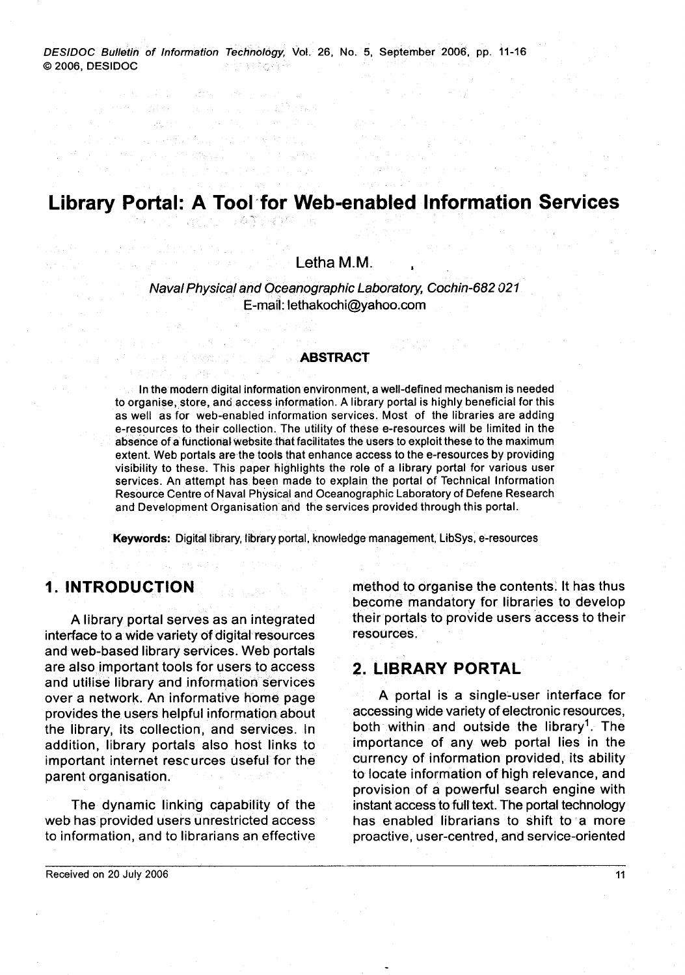DESIDOC BuNetin of Information Technology, Vol. 26, No. 5, September 2006, pp. 11-16 O 2006, DESIDOC 1999년 - 1997년 1월 12일 중 1월

an albahas

and the contemporary

 $\label{eq:3.1} \left\langle \frac{1}{2\pi\hbar^2}\nabla\left(\nabla\phi\right)\right\rangle_{\rm L} = \left\langle \frac{1}{2\pi\hbar^2}\nabla\phi\right\rangle_{\rm L} = \left\langle \phi\right\rangle_{\rm L} = \left\langle \phi\right\rangle_{\rm L} = \left\langle \phi\right\rangle_{\rm L} = \left\langle \phi\right\rangle_{\rm L}$ a segletaj de convincioj

19、小海警子寝事件

**の時間の過程** 

# **Library Portal: A Tool for Web-enabled Information Services**

#### Letha M.M. **<sup>I</sup>**

#### Naval Physical and Oceanographic Laboratory, Cochin-682 021 E-mail: lethakochi@yahoo.com

#### **ABSTRACT**

 $\blacksquare$  In the modern digital information environment, a well-defined mechanism is needed to organise, store, and access information. A library portal is highly beneficial for this as well as for web-enabled information services. Most of the libraries are adding e-resources to their collection. The utility of these e-resources will be limited in the absence of a functional website that facilitates the users to exploit these to the maximum extent. Web portals are the tools that enhance access to the e-resources by providing visibility to these. This paper highlights the role of a library portal for various user services. An attempt has been made to explain the portal of Technical Information Resource Centre of Naval Physical and Oceanographic Laboratory of Defene Research and Development Organisation and the services provided through this portal.

Keywords: Digital library, library portal, knowledge management, LibSys, e-resources

#### **1. INTRODUCTION**

A library portal serves as an integrated interface to a wide variety of digital resources and web-based library services. Web portals are also important tools for users to access and utilise library and information services over a network. An informative home page provides the users helpful information about the library, its collection, and services. In addition, library portals also host links to important internet rescurces useful for the parent organisation.

The dynamic linking capability of the web has provided users unrestricted access to information, and to librarians an effective method to organise the contents. It has thus become mandatory for libraries to develop their portals to provide users access to their resources.

#### **2. LIBRARY PORTAL**

A portal is a single-user interface for accessing wide variety of electronic resources, both within and outside the library<sup>1</sup>. The importance of any web portal lies in the currency of information provided, its ability to locate information of high relevance, and provision of a powerful search engine with instant access to full text. The portal technology has enabled librarians to shift to a more proactive, user-centred, and service-oriented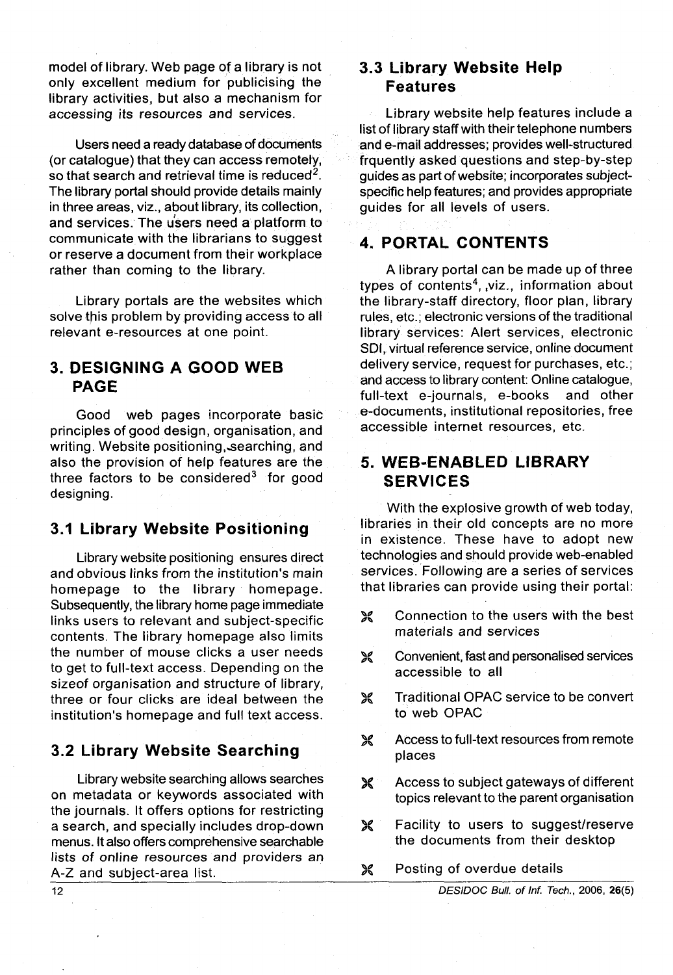model of library. Web page of a library is not only excellent medium for publicising the library activities, but also a mechanism for accessing its resources and services.

Users need a ready database of documents (or catalogue) that they can access remotely, so that search and retrieval time is reduced<sup>2</sup>. The library portal should provide details mainly in three areas, viz., about library, its collection, and services. The u'sers need a platform to communicate with the librarians to suggest or reserve a document from their workplace rather than coming to the library.

Library portals are the websites which solve this problem by providing access to all relevant e-resources at one point.

# **3. DESIGNING A GOOD WEB PAGE**

Good web pages incorporate basic principles of good design, organisation, and writing. Website positioning, searching, and also the provision of help features are the three factors to be considered $3$  for good designing.

#### **3.1 Library Website Positioning**

Library website positioning ensures direct and obvious links from the institution's main homepage to the library homepage. Subsequently, the library home page immediate links users to relevant and subject-specific contents. The library homepage also limits the number of mouse clicks a user needs to get to full-text access. Depending on the sizeof organisation and structure of library, three or four clicks are ideal between the institution's homepage and full text access.

#### **3.2 Library Website Searching**

Library website searching allows searches on metadata or keywords associated with the journals. It offers options for restricting a search, and specially includes drop-down menus. It also offers comprehensive searchable lists of online resources and providers an A-Z and subject-area list.

# **3.3 Library Website Help Features**

Library website help features include a list of library staff with their telephone numbers and e-mail addresses; provides well-structured frquently asked questions and step-by-step guides as part of website; incorporates subjectspecific help features; and provides appropriate guides for all levels of users.

### **4. PORTAL CONTENTS**

A library portal can be made up of three types of contents<sup>4</sup>, viz., information about the library-staff directory, floor plan, library rules, etc.; electronic versions of the traditional library services: Alert services, electronic SDI, virtual reference service, online document delivery service, request for purchases, etc.; and access to library content: Online catalogue,<br>full-text e-iournals, e-books and other full-text e-journals, e-books e-documents, institutional repositories, free accessible internet resources, etc.

# **5. WEB-ENABLED LIBRARY SERVICES**

With the explosive growth of web today, libraries in their old concepts are no more in existence. These have to adopt new technologies and should provide web-enabled services. Following are a series of services that libraries can provide using their portal:

- )< Connection to the users with the best materials and services
- >< Convenient, fast and personalised services accessible to all
- >< Traditional OPAC service to be convert to web OPAC
- Access to full-text resources from remote ℅ places
- Access to subject gateways of different  $\boldsymbol{\varkappa}$ topics relevant to the parent organisation
- X Facility to users to suggest/reserve the documents from their desktop
- )< Posting of overdue details

DESlDOC **Bull. of** Inf. Tech., 2006, **26(5)** 

12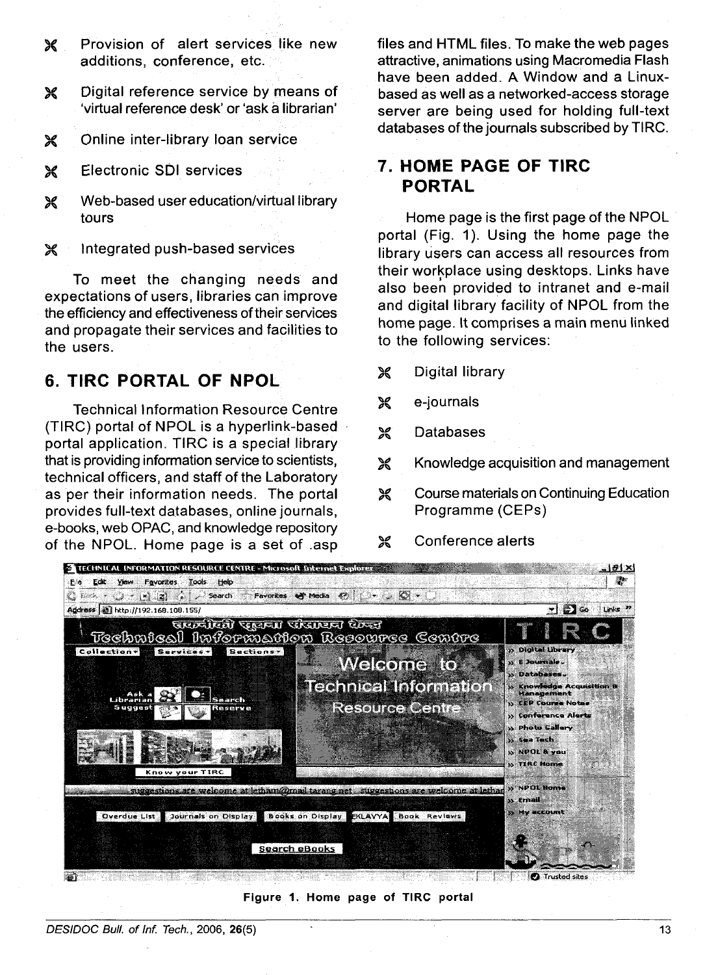- Provision of alert services like new  $\chi$ additions, conference, etc.
- Digital reference service by means of  $\chi$ 'virtual reference desk' or 'ask a librarian'
- Online inter-library loan service X
- Electronic SDI services X
- Web-based user education/virtual library Ж tours
- Integrated push-based services X

To meet the changing needs and expectations of users, libraries can improve the efficiency and effectiveness of their services and propagate their services and facilities to the users.

# 6. TIRC PORTAL OF NPOL

**Technical Information Resource Centre** (TIRC) portal of NPOL is a hyperlink-based portal application. TIRC is a special library that is providing information service to scientists, technical officers, and staff of the Laboratory as per their information needs. The portal provides full-text databases, online journals, e-books, web OPAC, and knowledge repository of the NPOL. Home page is a set of .asp

files and HTML files. To make the web pages attractive, animations using Macromedia Flash have been added. A Window and a Linuxbased as well as a networked-access storage server are being used for holding full-text databases of the journals subscribed by TIRC.

# 7. HOME PAGE OF TIRC **PORTAL**

Home page is the first page of the NPOL portal (Fig. 1). Using the home page the library users can access all resources from their workplace using desktops. Links have also been provided to intranet and e-mail and digital library facility of NPOL from the home page. It comprises a main menu linked to the following services:

- Digital library ঃ
- X e-journals
- X **Databases**

Ж

- X Knowledge acquisition and management
- Course materials on Continuing Education প্ল Programme (CEPs)

Conference alerts



Figure 1. Home page of TIRC portal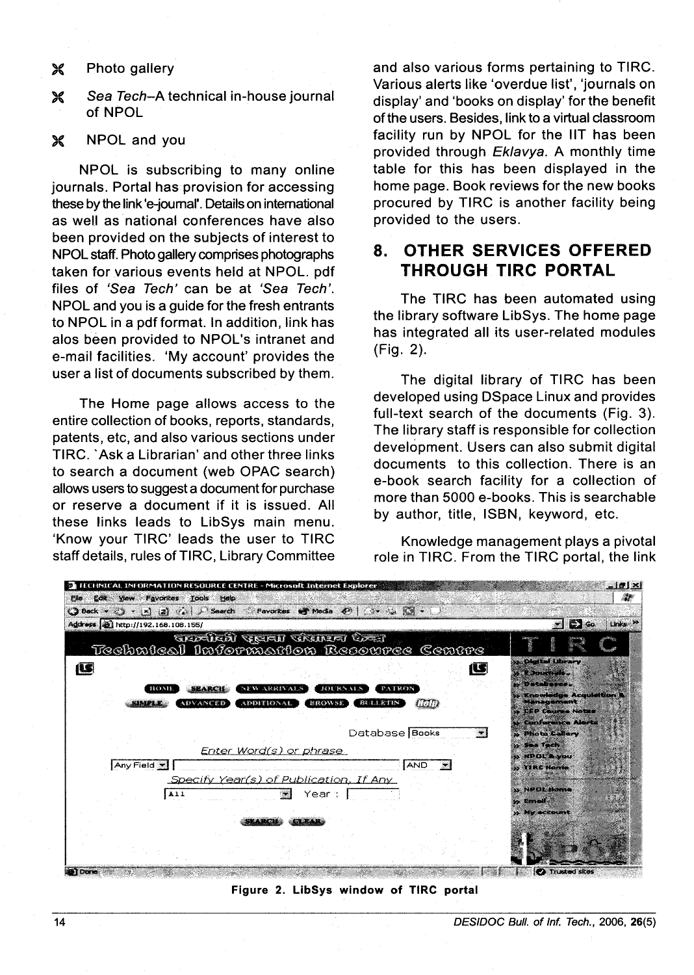#### > Photo gallery

**X** Sea Tech-A technical in-house journal of NPOL

#### **X** NPOL and you

NPOL is subscribing to many online journals. Portal has provision for accessing these by the link 'e-journal'. Details on international as well as national conferences have also been provided on the subjects of interest to NPOL staff. Photo gallery comprises photographs taken for various events held at NPOL. pdf files of 'Sea Tech' can be at 'Sea Tech'. NPOL and you is a guide for the fresh entrants to NPOL in a pdf format. In addition, link has alos been provided to NPOL's intranet and e-mail facilities. 'My account' provides the user a list of documents subscribed by them.

The Home page allows access to the entire collection of books, reports, standards, patents, etc, and also various sections under TIRC. 'Ask a Librarian' and other three links to search a document (web OPAC search) allows users to suggest a document for purchase or reserve a document if it is issued. All these links leads to LibSys main menu. 'Know your TIRC' leads the user to TlRC staff details, rules of TIRC, Library Committee and also various forms pertaining to TIRC. Various alerts like 'overdue list', 'journals on display' and 'books on display' for the benefit of the users. Besides, link to a virtual classroom facility run by NPOL for the IIT has been provided through Eklavya. A monthly time table for this has been displayed in the home page. Book reviews for the new books procured by TlRC is another facility being provided to the users.

# **8. OTHER SERVICES OFFERED THROUGH TlRC PORTAL**

The TlRC has been automated using the library software LibSys. The home page has integrated all its user-related modules (Fig. 2).

The digital library of TlRC has been developed using DSpace Linux and provides full-text search of the documents (Fig. 3). The library staff is responsible for collection development. Users can also submit digital documents to this collection. There is an e-book search facility for a collection of more than 5000 e-books. This is searchable by author, title, ISBN, keyword, etc.

Knowledge management plays a pivotal role in TIRC. From the TlRC portal, the link



**Figure 2. LibSys window of TlRC portal**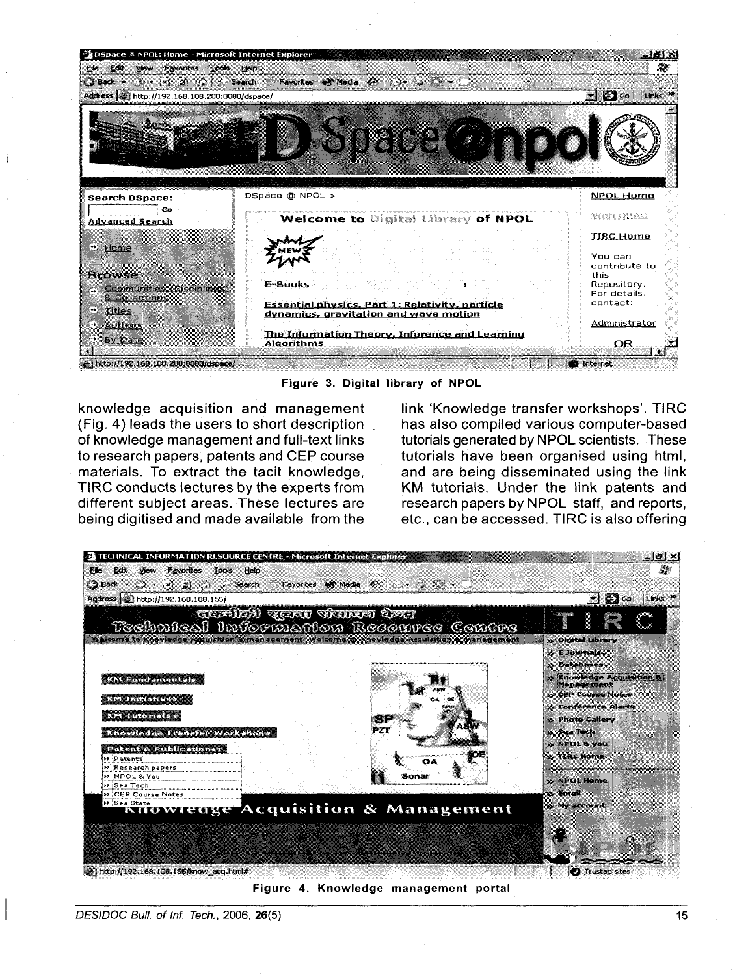

**Figure 3. Digital library of NPOL** 

knowledge acquisition and management (Fig. 4) leads the users to short description of knowledge management and full-text links to research papers, patents and CEP course materials. To extract the tacit knowledge, TIRC conducts lectures by the experts from different subject areas. These lectures are being digitised and made available from the

link 'Knowledge transfer workshops'. TIRC has also compiled various computer-based tutorials generated by NPOL scientists. These tutorials have been organised using html, and are being disseminated using the link KM tutorials. Under the link patents and research papers by NPOL staff, and reports, etc., can be accessed. TIRC is also offering



**Figure 4. Knowledge management portal**